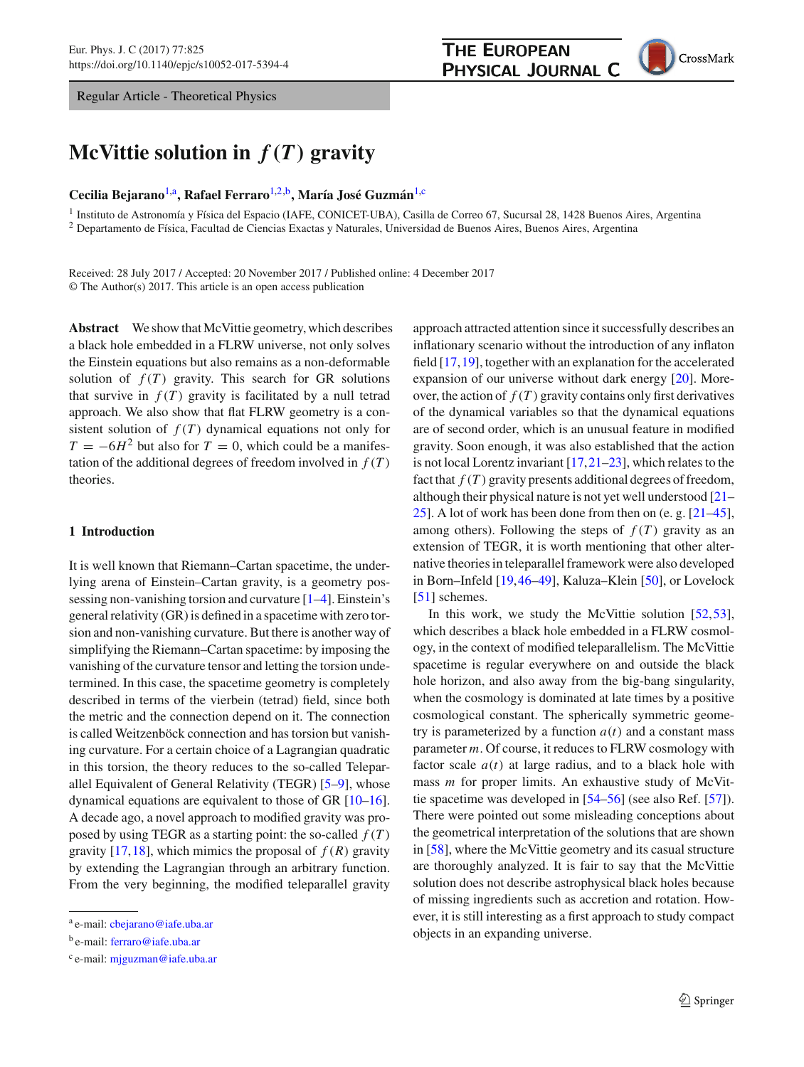Regular Article - Theoretical Physics

# **McVittie solution in** *f(T)* **gravity**

# **Cecilia Bejarano**[1,](#page-0-0)a**, Rafael Ferraro**[1,2,](#page-0-0)b**, María José Guzmán**[1,](#page-0-0)c

<sup>1</sup> Instituto de Astronomía y Física del Espacio (IAFE, CONICET-UBA), Casilla de Correo 67, Sucursal 28, 1428 Buenos Aires, Argentina <sup>2</sup> Departamento de Física, Facultad de Ciencias Exactas y Naturales, Universidad de Buenos Aires, Buenos Aires, Argentina

Received: 28 July 2017 / Accepted: 20 November 2017 / Published online: 4 December 2017 © The Author(s) 2017. This article is an open access publication

**Abstract** We show that McVittie geometry, which describes a black hole embedded in a FLRW universe, not only solves the Einstein equations but also remains as a non-deformable solution of  $f(T)$  gravity. This search for GR solutions that survive in  $f(T)$  gravity is facilitated by a null tetrad approach. We also show that flat FLRW geometry is a consistent solution of  $f(T)$  dynamical equations not only for  $T = -6H^2$  but also for  $T = 0$ , which could be a manifestation of the additional degrees of freedom involved in  $f(T)$ theories.

# **1 Introduction**

It is well known that Riemann–Cartan spacetime, the underlying arena of Einstein–Cartan gravity, is a geometry possessing non-vanishing torsion and curvature [\[1](#page-6-0)[–4](#page-6-1)]. Einstein's general relativity (GR) is defined in a spacetime with zero torsion and non-vanishing curvature. But there is another way of simplifying the Riemann–Cartan spacetime: by imposing the vanishing of the curvature tensor and letting the torsion undetermined. In this case, the spacetime geometry is completely described in terms of the vierbein (tetrad) field, since both the metric and the connection depend on it. The connection is called Weitzenböck connection and has torsion but vanishing curvature. For a certain choice of a Lagrangian quadratic in this torsion, the theory reduces to the so-called Teleparallel Equivalent of General Relativity (TEGR) [\[5](#page-6-2)[–9](#page-6-3)], whose dynamical equations are equivalent to those of GR [\[10](#page-6-4)[–16](#page-6-5)]. A decade ago, a novel approach to modified gravity was proposed by using TEGR as a starting point: the so-called  $f(T)$ gravity [\[17](#page-6-6)[,18\]](#page-6-7), which mimics the proposal of  $f(R)$  gravity by extending the Lagrangian through an arbitrary function. From the very beginning, the modified teleparallel gravity

<span id="page-0-0"></span>approach attracted attention since it successfully describes an inflationary scenario without the introduction of any inflaton field [\[17](#page-6-6)[,19](#page-6-8)], together with an explanation for the accelerated expansion of our universe without dark energy [\[20\]](#page-6-9). Moreover, the action of  $f(T)$  gravity contains only first derivatives of the dynamical variables so that the dynamical equations are of second order, which is an unusual feature in modified gravity. Soon enough, it was also established that the action is not local Lorentz invariant [\[17](#page-6-6)[,21](#page-6-10)[–23](#page-6-11)], which relates to the fact that  $f(T)$  gravity presents additional degrees of freedom, although their physical nature is not yet well understood [\[21](#page-6-10)– [25](#page-6-12)]. A lot of work has been done from then on (e. g. [\[21](#page-6-10)[–45](#page-6-13)], among others). Following the steps of  $f(T)$  gravity as an extension of TEGR, it is worth mentioning that other alternative theories in teleparallel framework were also developed in Born–Infeld [\[19,](#page-6-8)[46](#page-6-14)[–49\]](#page-6-15), Kaluza–Klein [\[50](#page-6-16)], or Lovelock [\[51](#page-6-17)] schemes.

In this work, we study the McVittie solution [\[52](#page-6-18)[,53](#page-6-19)], which describes a black hole embedded in a FLRW cosmology, in the context of modified teleparallelism. The McVittie spacetime is regular everywhere on and outside the black hole horizon, and also away from the big-bang singularity, when the cosmology is dominated at late times by a positive cosmological constant. The spherically symmetric geometry is parameterized by a function  $a(t)$  and a constant mass parameter *m*. Of course, it reduces to FLRW cosmology with factor scale  $a(t)$  at large radius, and to a black hole with mass *m* for proper limits. An exhaustive study of McVittie spacetime was developed in [\[54](#page-6-20)[–56\]](#page-6-21) (see also Ref. [\[57](#page-6-22)]). There were pointed out some misleading conceptions about the geometrical interpretation of the solutions that are shown in [\[58](#page-6-23)], where the McVittie geometry and its casual structure are thoroughly analyzed. It is fair to say that the McVittie solution does not describe astrophysical black holes because of missing ingredients such as accretion and rotation. However, it is still interesting as a first approach to study compact objects in an expanding universe.

<sup>a</sup> e-mail: [cbejarano@iafe.uba.ar](mailto:cbejarano@iafe.uba.ar)

<sup>b</sup> e-mail: [ferraro@iafe.uba.ar](mailto:ferraro@iafe.uba.ar)

<sup>c</sup> e-mail: [mjguzman@iafe.uba.ar](mailto:mjguzman@iafe.uba.ar)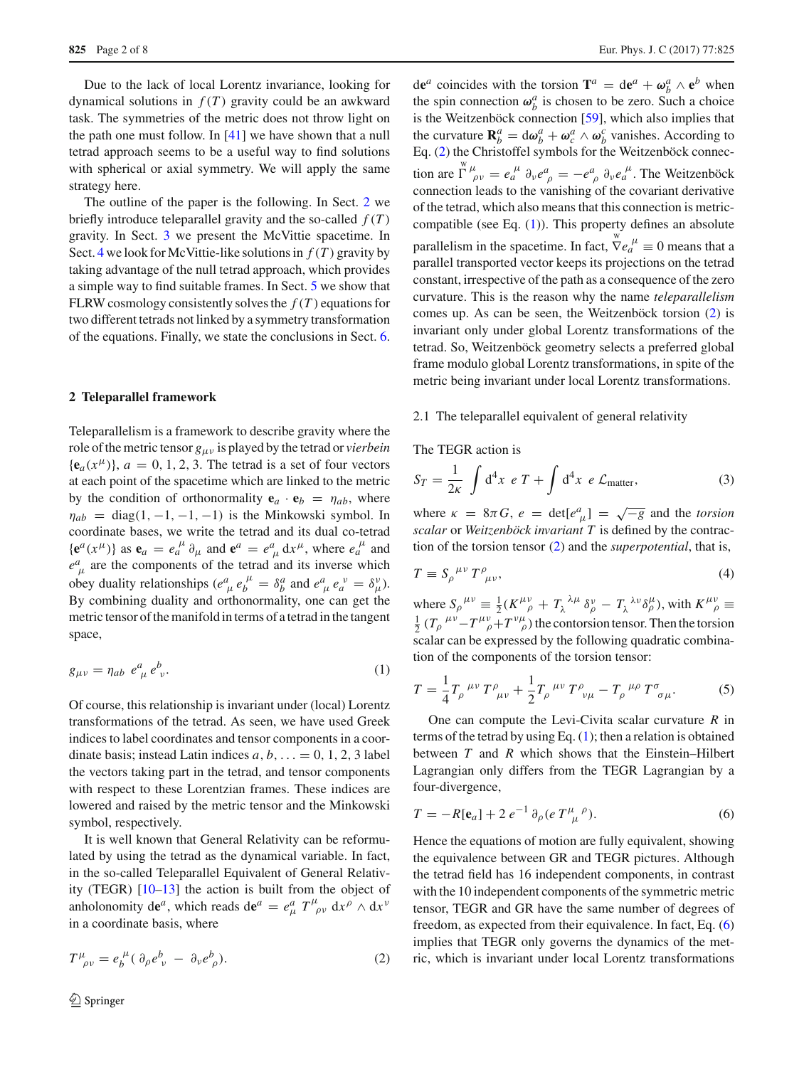Due to the lack of local Lorentz invariance, looking for dynamical solutions in  $f(T)$  gravity could be an awkward task. The symmetries of the metric does not throw light on the path one must follow. In [\[41](#page-6-24)] we have shown that a null tetrad approach seems to be a useful way to find solutions with spherical or axial symmetry. We will apply the same strategy here.

The outline of the paper is the following. In Sect. [2](#page-1-0) we briefly introduce teleparallel gravity and the so-called  $f(T)$ gravity. In Sect. [3](#page-3-0) we present the McVittie spacetime. In Sect. [4](#page-3-1) we look for McVittie-like solutions in  $f(T)$  gravity by taking advantage of the null tetrad approach, which provides a simple way to find suitable frames. In Sect. [5](#page-4-0) we show that FLRW cosmology consistently solves the *f* (*T* ) equations for two different tetrads not linked by a symmetry transformation of the equations. Finally, we state the conclusions in Sect. [6.](#page-6-25)

#### <span id="page-1-0"></span>**2 Teleparallel framework**

Teleparallelism is a framework to describe gravity where the role of the metric tensor *g*μν is played by the tetrad or *vierbein*  ${\bf e}_a(x^\mu)$ ,  $a = 0, 1, 2, 3$ . The tetrad is a set of four vectors at each point of the spacetime which are linked to the metric by the condition of orthonormality  $\mathbf{e}_a \cdot \mathbf{e}_b = \eta_{ab}$ , where  $\eta_{ab}$  = diag(1, -1, -1, -1) is the Minkowski symbol. In coordinate bases, we write the tetrad and its dual co-tetrad  ${\bf e}^{a}(x^{\mu})$  as  ${\bf e}_{a} = e_{a}^{\mu} \partial_{\mu}$  and  ${\bf e}^{a} = e_{\mu}^{a} dx^{\mu}$ , where  $e_{a}^{\mu}$  and  $e^a_{\mu}$  are the components of the tetrad and its inverse which obey duality relationships  $(e^a_\mu e^{\mu}_b = \delta^a_b$  and  $e^a_\mu e^{\nu}_a = \delta^{\nu}_\mu$ . By combining duality and orthonormality, one can get the metric tensor of the manifold in terms of a tetrad in the tangent space,

<span id="page-1-2"></span>
$$
g_{\mu\nu} = \eta_{ab} e^a_{\mu} e^b_{\nu}.
$$
 (1)

Of course, this relationship is invariant under (local) Lorentz transformations of the tetrad. As seen, we have used Greek indices to label coordinates and tensor components in a coordinate basis; instead Latin indices  $a, b, \ldots = 0, 1, 2, 3$  label the vectors taking part in the tetrad, and tensor components with respect to these Lorentzian frames. These indices are lowered and raised by the metric tensor and the Minkowski symbol, respectively.

It is well known that General Relativity can be reformulated by using the tetrad as the dynamical variable. In fact, in the so-called Teleparallel Equivalent of General Relativity (TEGR) [\[10](#page-6-4)[–13](#page-6-26)] the action is built from the object of anholonomity de<sup>*a*</sup>, which reads de<sup>*a*</sup> =  $e^a_\mu T^\mu_{\ \rho\nu} dx^\rho \wedge dx^\nu$ in a coordinate basis, where

<span id="page-1-1"></span>
$$
T^{\mu}_{\ \rho\nu} = e^{\mu}_{b} (\partial_{\rho} e^{b}_{\ \nu} - \partial_{\nu} e^{b}_{\ \rho}). \tag{2}
$$

de<sup>*a*</sup> coincides with the torsion **T**<sup>*a*</sup> = de<sup>*a*</sup> +  $\omega_b^a \wedge e^b$  when the spin connection  $\omega_b^a$  is chosen to be zero. Such a choice is the Weitzenböck connection [\[59\]](#page-6-27), which also implies that the curvature  $\mathbf{R}_{b}^{a} = d\omega_{b}^{a} + \omega_{c}^{a} \wedge \omega_{b}^{c}$  vanishes. According to Eq. [\(2\)](#page-1-1) the Christoffel symbols for the Weitzenböck connection are  $\int_{\rho}^{\mathbf{w}} \mu_{\rho} = e_a^{\mu} \partial_{\nu} e_{\rho}^{\alpha} = -e_{\rho}^{\alpha} \partial_{\nu} e_a^{\mu}$ . The Weitzenböck connection leads to the vanishing of the covariant derivative of the tetrad, which also means that this connection is metriccompatible (see Eq. [\(1\)](#page-1-2)). This property defines an absolute parallelism in the spacetime. In fact,  $\nabla e_a^{\mu} \equiv 0$  means that a parallel transported vector keeps its projections on the tetrad constant, irrespective of the path as a consequence of the zero curvature. This is the reason why the name *teleparallelism* comes up. As can be seen, the Weitzenböck torsion [\(2\)](#page-1-1) is invariant only under global Lorentz transformations of the tetrad. So, Weitzenböck geometry selects a preferred global frame modulo global Lorentz transformations, in spite of the metric being invariant under local Lorentz transformations.

#### 2.1 The teleparallel equivalent of general relativity

The TEGR action is

$$
S_T = \frac{1}{2\kappa} \int d^4x \ e \ T + \int d^4x \ e \ \mathcal{L}_{\text{matter}}, \tag{3}
$$

where  $\kappa = 8\pi G$ ,  $e = \det[e^a_{\mu}] = \sqrt{-g}$  and the *torsion scalar* or *Weitzenböck invariant T* is defined by the contraction of the torsion tensor [\(2\)](#page-1-1) and the *superpotential*, that is,

<span id="page-1-4"></span>
$$
T \equiv S_{\rho}^{\ \mu\nu} T^{\rho}_{\ \mu\nu},\tag{4}
$$

where  $S_{\rho}^{\mu\nu} \equiv \frac{1}{2} (K^{\mu\nu}_{\rho} + T_{\lambda}^{\ \lambda\mu} \delta_{\rho}^{\nu} - T_{\lambda}^{\ \lambda\nu} \delta_{\rho}^{\mu})$ , with  $K^{\mu\nu}_{\ \rho} \equiv$  $\frac{1}{2}$  (*T<sub>p</sub>*  $\mu \nu - T^{\mu} \nu + T^{\nu} \mu$ ) the contorsion tensor. Then the torsion scalar can be expressed by the following quadratic combination of the components of the torsion tensor:

$$
T = \frac{1}{4} T_{\rho}^{\ \mu\nu} T^{\rho}_{\ \mu\nu} + \frac{1}{2} T_{\rho}^{\ \mu\nu} T^{\rho}_{\ \nu\mu} - T_{\rho}^{\ \mu\rho} T^{\sigma}_{\ \sigma\mu}.
$$
 (5)

One can compute the Levi-Civita scalar curvature *R* in terms of the tetrad by using Eq.  $(1)$ ; then a relation is obtained between *T* and *R* which shows that the Einstein–Hilbert Lagrangian only differs from the TEGR Lagrangian by a four-divergence,

<span id="page-1-3"></span>
$$
T = -R[\mathbf{e}_a] + 2 e^{-1} \partial_\rho (e T^\mu_{\ \mu}{}^\rho). \tag{6}
$$

Hence the equations of motion are fully equivalent, showing the equivalence between GR and TEGR pictures. Although the tetrad field has 16 independent components, in contrast with the 10 independent components of the symmetric metric tensor, TEGR and GR have the same number of degrees of freedom, as expected from their equivalence. In fact, Eq. [\(6\)](#page-1-3) implies that TEGR only governs the dynamics of the metric, which is invariant under local Lorentz transformations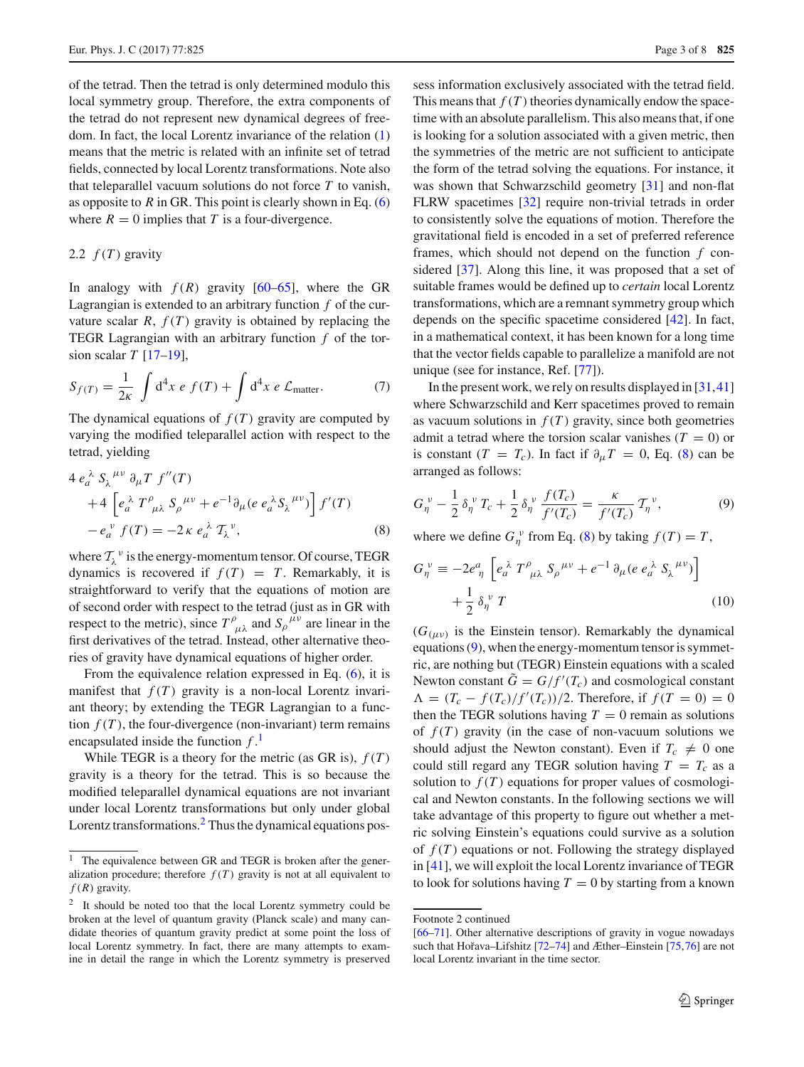of the tetrad. Then the tetrad is only determined modulo this local symmetry group. Therefore, the extra components of the tetrad do not represent new dynamical degrees of freedom. In fact, the local Lorentz invariance of the relation [\(1\)](#page-1-2) means that the metric is related with an infinite set of tetrad fields, connected by local Lorentz transformations. Note also that teleparallel vacuum solutions do not force *T* to vanish, as opposite to  $R$  in GR. This point is clearly shown in Eq.  $(6)$ where  $R = 0$  implies that *T* is a four-divergence.

## 2.2  $f(T)$  gravity

In analogy with  $f(R)$  gravity  $[60-65]$  $[60-65]$ , where the GR Lagrangian is extended to an arbitrary function *f* of the curvature scalar  $R$ ,  $f(T)$  gravity is obtained by replacing the TEGR Lagrangian with an arbitrary function *f* of the torsion scalar *T* [\[17](#page-6-6)[–19\]](#page-6-8),

$$
S_{f(T)} = \frac{1}{2\kappa} \int d^4x \ e \ f(T) + \int d^4x \ e \ \mathcal{L}_{\text{matter}}.\tag{7}
$$

The dynamical equations of  $f(T)$  gravity are computed by varying the modified teleparallel action with respect to the tetrad, yielding

<span id="page-2-2"></span>
$$
4 e_a^{\lambda} S_{\lambda}^{\mu\nu} \partial_{\mu} T f''(T)
$$
  
+4  $\left[ e_a^{\lambda} T^{\rho}_{\mu\lambda} S_{\rho}^{\mu\nu} + e^{-1} \partial_{\mu} (e e_a^{\lambda} S_{\lambda}^{\mu\nu}) \right] f'(T)$   
- $e_a^{\nu} f(T) = -2 \kappa e_a^{\lambda} T_{\lambda}^{\nu},$  (8)

where  $T_{\lambda}^{\nu}$  is the energy-momentum tensor. Of course, TEGR dynamics is recovered if  $f(T) = T$ . Remarkably, it is straightforward to verify that the equations of motion are of second order with respect to the tetrad (just as in GR with respect to the metric), since  $T^{\rho}_{\mu\lambda}$  and  $S_{\rho}^{\mu\nu}$  are linear in the first derivatives of the tetrad. Instead, other alternative theories of gravity have dynamical equations of higher order.

From the equivalence relation expressed in Eq. [\(6\)](#page-1-3), it is manifest that  $f(T)$  gravity is a non-local Lorentz invariant theory; by extending the TEGR Lagrangian to a function  $f(T)$ , the four-divergence (non-invariant) term remains encapsulated inside the function *f* . [1](#page-2-0)

While TEGR is a theory for the metric (as GR is),  $f(T)$ gravity is a theory for the tetrad. This is so because the modified teleparallel dynamical equations are not invariant under local Lorentz transformations but only under global Lorentz transformations. $<sup>2</sup>$  $<sup>2</sup>$  $<sup>2</sup>$  Thus the dynamical equations pos-</sup>

sess information exclusively associated with the tetrad field. This means that  $f(T)$  theories dynamically endow the spacetime with an absolute parallelism. This also means that, if one is looking for a solution associated with a given metric, then the symmetries of the metric are not sufficient to anticipate the form of the tetrad solving the equations. For instance, it was shown that Schwarzschild geometry [\[31\]](#page-6-29) and non-flat FLRW spacetimes [\[32\]](#page-6-30) require non-trivial tetrads in order to consistently solve the equations of motion. Therefore the gravitational field is encoded in a set of preferred reference frames, which should not depend on the function *f* considered [\[37\]](#page-6-31). Along this line, it was proposed that a set of suitable frames would be defined up to *certain* local Lorentz transformations, which are a remnant symmetry group which depends on the specific spacetime considered [\[42\]](#page-6-32). In fact, in a mathematical context, it has been known for a long time that the vector fields capable to parallelize a manifold are not unique (see for instance, Ref. [\[77\]](#page-7-1)).

In the present work, we rely on results displayed in [\[31,](#page-6-29)[41\]](#page-6-24) where Schwarzschild and Kerr spacetimes proved to remain as vacuum solutions in  $f(T)$  gravity, since both geometries admit a tetrad where the torsion scalar vanishes  $(T = 0)$  or is constant (*T* = *T<sub>c</sub>*). In fact if  $\partial_{\mu}T = 0$ , Eq. [\(8\)](#page-2-2) can be arranged as follows:

<span id="page-2-3"></span>
$$
G_{\eta}^{\ \nu} - \frac{1}{2} \delta_{\eta}^{\ \nu} T_c + \frac{1}{2} \delta_{\eta}^{\ \nu} \frac{f(T_c)}{f'(T_c)} = \frac{\kappa}{f'(T_c)} T_{\eta}^{\ \nu},\tag{9}
$$

where we define  $G_{\eta}^{\nu}$  from Eq. [\(8\)](#page-2-2) by taking  $f(T) = T$ ,

$$
G_{\eta}^{\ \nu} \equiv -2e_{\eta}^{a} \left[ e_{a}^{\ \lambda} T^{\rho}_{\ \mu\lambda} S_{\rho}^{\ \mu\nu} + e^{-1} \partial_{\mu} (e e_{a}^{\ \lambda} S_{\lambda}^{\ \mu\nu}) \right] + \frac{1}{2} \delta_{\eta}^{\ \nu} T
$$
 (10)

 $(G_{(\mu\nu)}$  is the Einstein tensor). Remarkably the dynamical equations [\(9\)](#page-2-3), when the energy-momentum tensor is symmetric, are nothing but (TEGR) Einstein equations with a scaled Newton constant  $G = G/f'(T_c)$  and cosmological constant  $\Lambda = (T_c - f(T_c)/f'(T_c))/2$ . Therefore, if  $f(T = 0) = 0$ then the TEGR solutions having  $T = 0$  remain as solutions of  $f(T)$  gravity (in the case of non-vacuum solutions we should adjust the Newton constant). Even if  $T_c \neq 0$  one could still regard any TEGR solution having  $T = T_c$  as a solution to  $f(T)$  equations for proper values of cosmological and Newton constants. In the following sections we will take advantage of this property to figure out whether a metric solving Einstein's equations could survive as a solution of  $f(T)$  equations or not. Following the strategy displayed in [\[41](#page-6-24)], we will exploit the local Lorentz invariance of TEGR to look for solutions having  $T = 0$  by starting from a known

<span id="page-2-0"></span>The equivalence between GR and TEGR is broken after the generalization procedure; therefore  $f(T)$  gravity is not at all equivalent to  $f(R)$  gravity.

<span id="page-2-1"></span>It should be noted too that the local Lorentz symmetry could be broken at the level of quantum gravity (Planck scale) and many candidate theories of quantum gravity predict at some point the loss of local Lorentz symmetry. In fact, there are many attempts to examine in detail the range in which the Lorentz symmetry is preserved

Footnote 2 continued

[<sup>\[66</sup>](#page-7-2)[–71](#page-7-3)]. Other alternative descriptions of gravity in vogue nowadays such that Hořava–Lifshitz  $[72-74]$  $[72-74]$  and Æther–Einstein  $[75,76]$  $[75,76]$  $[75,76]$  are not local Lorentz invariant in the time sector.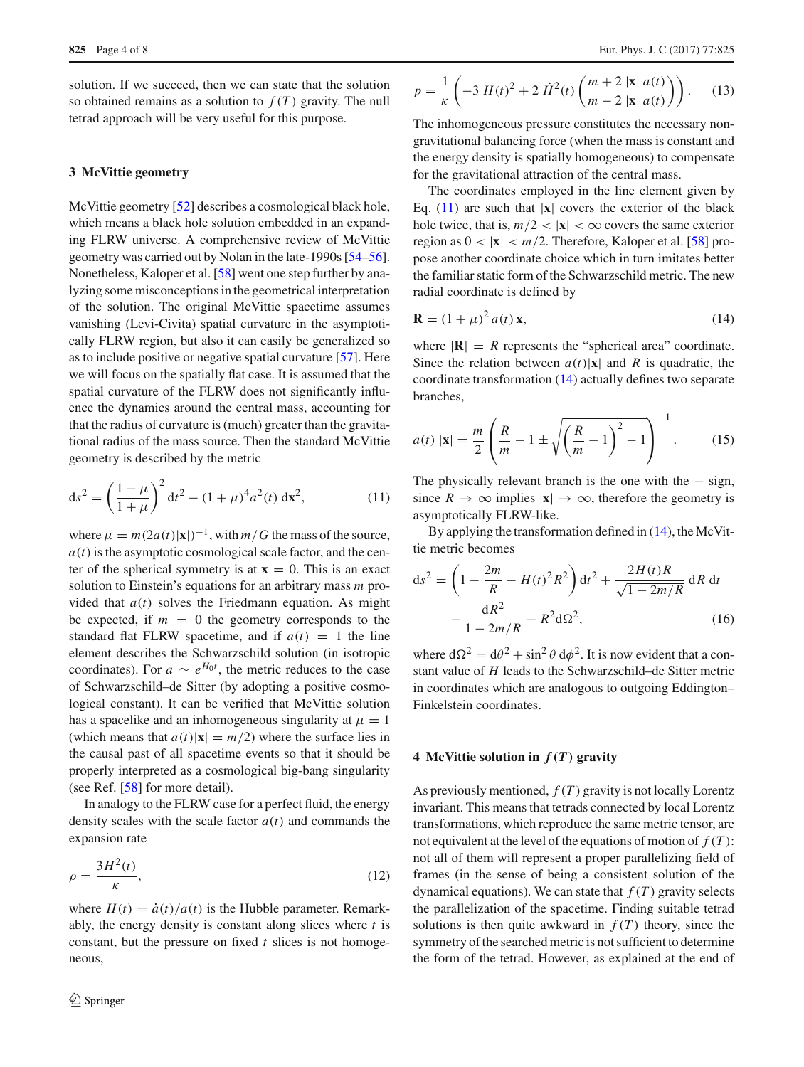solution. If we succeed, then we can state that the solution so obtained remains as a solution to  $f(T)$  gravity. The null tetrad approach will be very useful for this purpose.

#### <span id="page-3-0"></span>**3 McVittie geometry**

McVittie geometry [\[52\]](#page-6-18) describes a cosmological black hole, which means a black hole solution embedded in an expanding FLRW universe. A comprehensive review of McVittie geometry was carried out by Nolan in the late-1990s [\[54](#page-6-20)[–56](#page-6-21)]. Nonetheless, Kaloper et al. [\[58](#page-6-23)] went one step further by analyzing some misconceptions in the geometrical interpretation of the solution. The original McVittie spacetime assumes vanishing (Levi-Civita) spatial curvature in the asymptotically FLRW region, but also it can easily be generalized so as to include positive or negative spatial curvature [\[57\]](#page-6-22). Here we will focus on the spatially flat case. It is assumed that the spatial curvature of the FLRW does not significantly influence the dynamics around the central mass, accounting for that the radius of curvature is (much) greater than the gravitational radius of the mass source. Then the standard McVittie geometry is described by the metric

<span id="page-3-2"></span>
$$
ds^{2} = \left(\frac{1-\mu}{1+\mu}\right)^{2} dt^{2} - (1+\mu)^{4} a^{2}(t) dx^{2},
$$
\n(11)

where  $\mu = m(2a(t)|\mathbf{x}|)^{-1}$ , with  $m/G$  the mass of the source,  $a(t)$  is the asymptotic cosmological scale factor, and the center of the spherical symmetry is at  $\mathbf{x} = 0$ . This is an exact solution to Einstein's equations for an arbitrary mass *m* provided that  $a(t)$  solves the Friedmann equation. As might be expected, if  $m = 0$  the geometry corresponds to the standard flat FLRW spacetime, and if  $a(t) = 1$  the line element describes the Schwarzschild solution (in isotropic coordinates). For  $a \sim e^{H_0 t}$ , the metric reduces to the case of Schwarzschild–de Sitter (by adopting a positive cosmological constant). It can be verified that McVittie solution has a spacelike and an inhomogeneous singularity at  $\mu = 1$ (which means that  $a(t)|\mathbf{x}| = m/2$ ) where the surface lies in the causal past of all spacetime events so that it should be properly interpreted as a cosmological big-bang singularity (see Ref. [\[58](#page-6-23)] for more detail).

In analogy to the FLRW case for a perfect fluid, the energy density scales with the scale factor  $a(t)$  and commands the expansion rate

$$
\rho = \frac{3H^2(t)}{\kappa},\tag{12}
$$

where  $H(t) = \dot{a}(t)/a(t)$  is the Hubble parameter. Remarkably, the energy density is constant along slices where *t* is constant, but the pressure on fixed *t* slices is not homogeneous,

$$
p = \frac{1}{\kappa} \left( -3 H(t)^2 + 2 \dot{H}^2(t) \left( \frac{m+2 |\mathbf{x}| a(t)}{m-2 |\mathbf{x}| a(t)} \right) \right). \tag{13}
$$

The inhomogeneous pressure constitutes the necessary nongravitational balancing force (when the mass is constant and the energy density is spatially homogeneous) to compensate for the gravitational attraction of the central mass.

The coordinates employed in the line element given by Eq.  $(11)$  are such that  $|\mathbf{x}|$  covers the exterior of the black hole twice, that is,  $m/2 < |\mathbf{x}| < \infty$  covers the same exterior region as  $0 < |x| < m/2$ . Therefore, Kaloper et al. [\[58](#page-6-23)] propose another coordinate choice which in turn imitates better the familiar static form of the Schwarzschild metric. The new radial coordinate is defined by

<span id="page-3-3"></span>
$$
\mathbf{R} = (1 + \mu)^2 a(t) \mathbf{x},\tag{14}
$$

where  $|\mathbf{R}| = R$  represents the "spherical area" coordinate. Since the relation between  $a(t)|\mathbf{x}|$  and *R* is quadratic, the coordinate transformation [\(14\)](#page-3-3) actually defines two separate branches,

$$
a(t) |\mathbf{x}| = \frac{m}{2} \left( \frac{R}{m} - 1 \pm \sqrt{\left(\frac{R}{m} - 1\right)^2 - 1} \right)^{-1}.
$$
 (15)

The physically relevant branch is the one with the  $-$  sign, since  $R \to \infty$  implies  $|\mathbf{x}| \to \infty$ , therefore the geometry is asymptotically FLRW-like.

By applying the transformation defined in [\(14\)](#page-3-3), the McVittie metric becomes

<span id="page-3-4"></span>
$$
ds^{2} = \left(1 - \frac{2m}{R} - H(t)^{2}R^{2}\right)dt^{2} + \frac{2H(t)R}{\sqrt{1 - 2m/R}} dR dt - \frac{dR^{2}}{1 - 2m/R} - R^{2}d\Omega^{2},
$$
\n(16)

where  $d\Omega^2 = d\theta^2 + \sin^2 \theta d\phi^2$ . It is now evident that a constant value of *H* leads to the Schwarzschild–de Sitter metric in coordinates which are analogous to outgoing Eddington– Finkelstein coordinates.

#### <span id="page-3-1"></span>**4 McVittie solution in** *f(T)* **gravity**

As previously mentioned, *f* (*T* ) gravity is not locally Lorentz invariant. This means that tetrads connected by local Lorentz transformations, which reproduce the same metric tensor, are not equivalent at the level of the equations of motion of *f* (*T* ): not all of them will represent a proper parallelizing field of frames (in the sense of being a consistent solution of the dynamical equations). We can state that  $f(T)$  gravity selects the parallelization of the spacetime. Finding suitable tetrad solutions is then quite awkward in  $f(T)$  theory, since the symmetry of the searched metric is not sufficient to determine the form of the tetrad. However, as explained at the end of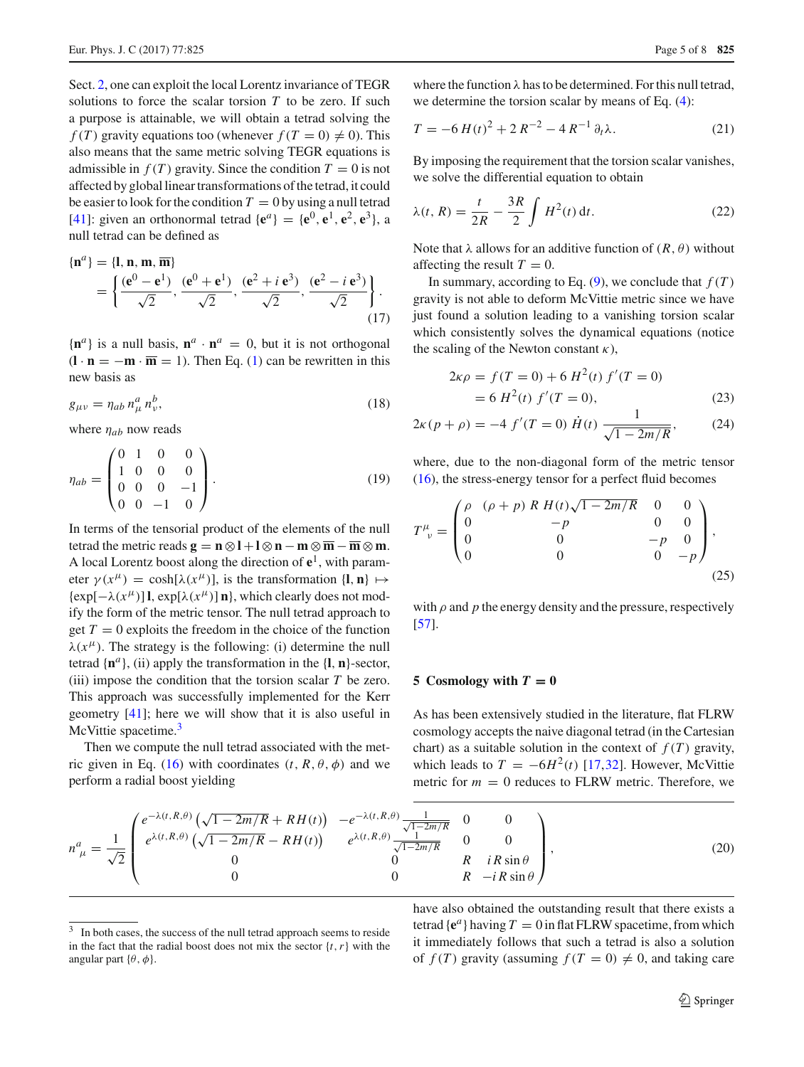Sect. [2,](#page-1-0) one can exploit the local Lorentz invariance of TEGR solutions to force the scalar torsion  $T$  to be zero. If such a purpose is attainable, we will obtain a tetrad solving the *f* (*T*) gravity equations too (whenever  $f(T = 0) \neq 0$ ). This also means that the same metric solving TEGR equations is admissible in  $f(T)$  gravity. Since the condition  $T = 0$  is not affected by global linear transformations of the tetrad, it could be easier to look for the condition  $T = 0$  by using a null tetrad [\[41](#page-6-24)]: given an orthonormal tetrad  $\{e^{a}\} = \{e^{0}, e^{1}, e^{2}, e^{3}\}$ , a null tetrad can be defined as

<span id="page-4-5"></span>
$$
\begin{aligned} \{\mathbf{n}^a\} &= \{\mathbf{l}, \mathbf{n}, \mathbf{m}, \overline{\mathbf{m}}\} \\ &= \left\{ \frac{(\mathbf{e}^0 - \mathbf{e}^1)}{\sqrt{2}}, \frac{(\mathbf{e}^0 + \mathbf{e}^1)}{\sqrt{2}}, \frac{(\mathbf{e}^2 + i \mathbf{e}^3)}{\sqrt{2}}, \frac{(\mathbf{e}^2 - i \mathbf{e}^3)}{\sqrt{2}} \right\}. \end{aligned} \tag{17}
$$

 ${\bf n}^a$  is a null basis,  ${\bf n}^a \cdot {\bf n}^a = 0$ , but it is not orthogonal  $(\mathbf{l} \cdot \mathbf{n} = -\mathbf{m} \cdot \overline{\mathbf{m}} = 1)$ . Then Eq. [\(1\)](#page-1-2) can be rewritten in this new basis as

$$
g_{\mu\nu} = \eta_{ab} n^a_\mu n^b_\nu,\tag{18}
$$

where  $\eta_{ab}$  now reads

$$
\eta_{ab} = \begin{pmatrix} 0 & 1 & 0 & 0 \\ 1 & 0 & 0 & 0 \\ 0 & 0 & 0 & -1 \\ 0 & 0 & -1 & 0 \end{pmatrix} . \tag{19}
$$

In terms of the tensorial product of the elements of the null tetrad the metric reads  $\mathbf{g} = \mathbf{n} \otimes \mathbf{l} + \mathbf{l} \otimes \mathbf{n} - \mathbf{m} \otimes \overline{\mathbf{m}} - \overline{\mathbf{m}} \otimes \mathbf{m}$ . A local Lorentz boost along the direction of  $e^1$ , with parameter  $\gamma(x^{\mu}) = \cosh[\lambda(x^{\mu})]$ , is the transformation  $\{\mathbf{l}, \mathbf{n}\} \mapsto$  $\{\exp[-\lambda(x^{\mu})]$  **l**,  $\exp[\lambda(x^{\mu})]$  **n**}, which clearly does not modify the form of the metric tensor. The null tetrad approach to get  $T = 0$  exploits the freedom in the choice of the function  $\lambda(x^{\mu})$ . The strategy is the following: (i) determine the null tetrad  $\{\mathbf{n}^a\}$ , (ii) apply the transformation in the  $\{\mathbf{l}, \mathbf{n}\}$ -sector, (iii) impose the condition that the torsion scalar *T* be zero. This approach was successfully implemented for the Kerr geometry [\[41\]](#page-6-24); here we will show that it is also useful in McVittie spacetime.<sup>[3](#page-4-1)</sup>

Then we compute the null tetrad associated with the met-ric given in Eq. [\(16\)](#page-3-4) with coordinates  $(t, R, \theta, \phi)$  and we perform a radial boost yielding

where the function  $\lambda$  has to be determined. For this null tetrad, we determine the torsion scalar by means of Eq. [\(4\)](#page-1-4):

$$
T = -6H(t)^{2} + 2R^{-2} - 4R^{-1}\partial_{t}\lambda.
$$
 (21)

By imposing the requirement that the torsion scalar vanishes, we solve the differential equation to obtain

<span id="page-4-3"></span>
$$
\lambda(t, R) = \frac{t}{2R} - \frac{3R}{2} \int H^2(t) dt.
$$
\n(22)

Note that  $\lambda$  allows for an additive function of  $(R, \theta)$  without affecting the result  $T = 0$ .

In summary, according to Eq.  $(9)$ , we conclude that  $f(T)$ gravity is not able to deform McVittie metric since we have just found a solution leading to a vanishing torsion scalar which consistently solves the dynamical equations (notice the scaling of the Newton constant  $\kappa$ ).

<span id="page-4-4"></span>
$$
2\kappa \rho = f(T = 0) + 6 H^2(t) f'(T = 0)
$$
  
= 6 H<sup>2</sup>(t) f'(T = 0), (23)

$$
2\kappa(p+\rho) = -4 f'(T=0) \dot{H}(t) \frac{1}{\sqrt{1-2m/R}},
$$
 (24)

where, due to the non-diagonal form of the metric tensor [\(16\)](#page-3-4), the stress-energy tensor for a perfect fluid becomes

$$
T^{\mu}_{\ \nu} = \begin{pmatrix} \rho & (\rho + p) \ R \ H(t) \sqrt{1 - 2m/R} & 0 & 0 \\ 0 & -p & 0 & 0 \\ 0 & 0 & -p & 0 \\ 0 & 0 & 0 & -p \end{pmatrix},
$$
\n(25)

with  $\rho$  and  $p$  the energy density and the pressure, respectively [\[57](#page-6-22)].

#### <span id="page-4-0"></span>**5** Cosmology with  $T = 0$

As has been extensively studied in the literature, flat FLRW cosmology accepts the naive diagonal tetrad (in the Cartesian chart) as a suitable solution in the context of  $f(T)$  gravity, which leads to  $T = -6H^2(t)$  [\[17](#page-6-6),[32\]](#page-6-30). However, McVittie metric for  $m = 0$  reduces to FLRW metric. Therefore, we

<span id="page-4-2"></span>
$$
n_{\ \mu}^{a} = \frac{1}{\sqrt{2}} \begin{pmatrix} e^{-\lambda(t,R,\theta)} \left( \sqrt{1 - 2m/R} + RH(t) \right) & -e^{-\lambda(t,R,\theta)} \frac{1}{\sqrt{1 - 2m/R}} & 0 & 0 \\ e^{\lambda(t,R,\theta)} \left( \sqrt{1 - 2m/R} - RH(t) \right) & e^{\lambda(t,R,\theta)} \frac{1}{\sqrt{1 - 2m/R}} & 0 & 0 \\ 0 & 0 & R & iR \sin \theta \\ 0 & 0 & R & -iR \sin \theta \end{pmatrix},
$$
(20)

have also obtained the outstanding result that there exists a tetrad  ${e^a}$  having  $T = 0$  in flat FLRW spacetime, from which it immediately follows that such a tetrad is also a solution of  $f(T)$  gravity (assuming  $f(T = 0) \neq 0$ , and taking care

<span id="page-4-1"></span><sup>&</sup>lt;sup>3</sup> In both cases, the success of the null tetrad approach seems to reside in the fact that the radial boost does not mix the sector  $\{t, r\}$  with the angular part { $\theta$ ,  $\phi$ }.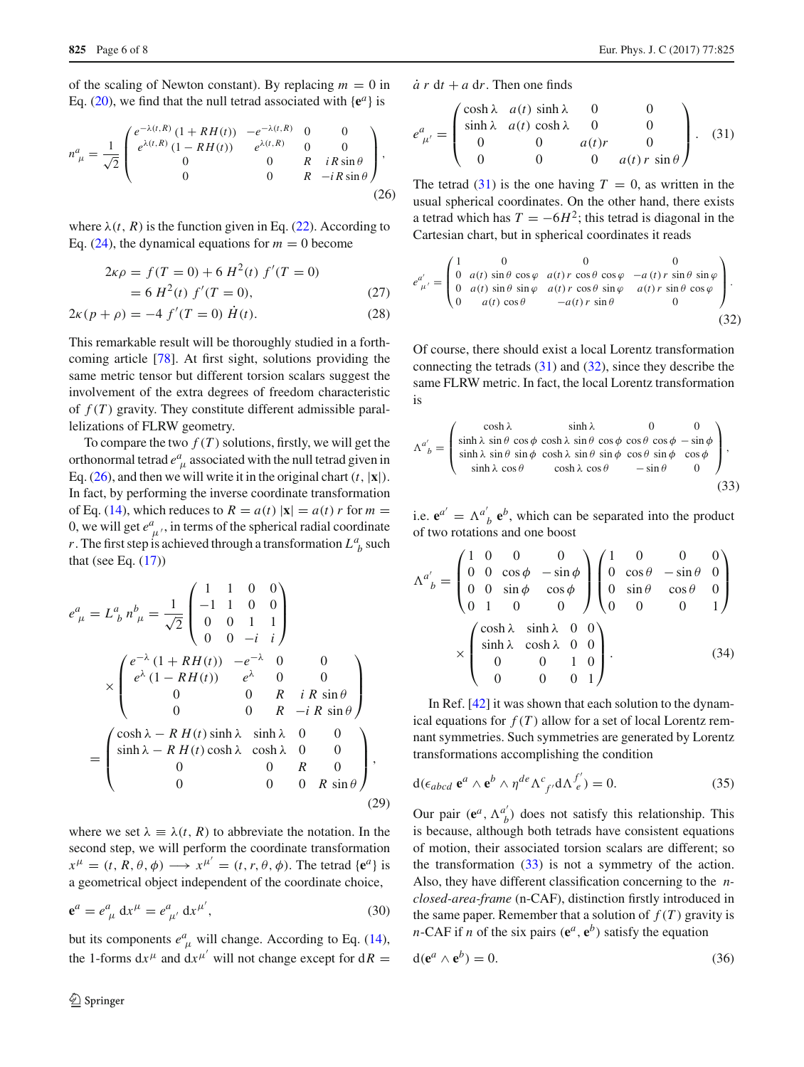of the scaling of Newton constant). By replacing  $m = 0$  in Eq. [\(20\)](#page-4-2), we find that the null tetrad associated with  $\{e^a\}$  is

<span id="page-5-0"></span>
$$
n_{\ \mu}^{a} = \frac{1}{\sqrt{2}} \begin{pmatrix} e^{-\lambda(t,R)} \left( 1 + RH(t) \right) & -e^{-\lambda(t,R)} & 0 & 0\\ e^{\lambda(t,R)} \left( 1 - RH(t) \right) & e^{\lambda(t,R)} & 0 & 0\\ 0 & 0 & R & iR\sin\theta\\ 0 & 0 & R & -iR\sin\theta \end{pmatrix},
$$
\n(26)

where  $\lambda(t, R)$  is the function given in Eq. [\(22\)](#page-4-3). According to Eq.  $(24)$ , the dynamical equations for  $m = 0$  become

$$
2\kappa \rho = f(T = 0) + 6 H^2(t) f'(T = 0)
$$
  
= 6 H<sup>2</sup>(t) f'(T = 0), (27)

$$
2\kappa(p+\rho) = -4 f'(T=0) \dot{H}(t).
$$
 (28)

This remarkable result will be thoroughly studied in a forthcoming article [\[78\]](#page-7-8). At first sight, solutions providing the same metric tensor but different torsion scalars suggest the involvement of the extra degrees of freedom characteristic of  $f(T)$  gravity. They constitute different admissible parallelizations of FLRW geometry.

To compare the two  $f(T)$  solutions, firstly, we will get the orthonormal tetrad  $e^a_{\mu}$  associated with the null tetrad given in Eq. [\(26\)](#page-5-0), and then we will write it in the original chart  $(t, |\mathbf{x}|)$ . In fact, by performing the inverse coordinate transformation of Eq. [\(14\)](#page-3-3), which reduces to  $R = a(t) |x| = a(t) r$  for  $m =$ 0, we will get  $e^a_{\mu}$ , in terms of the spherical radial coordinate *r*. The first step is achieved through a transformation  $L^a_{\ b}$  such that (see Eq.  $(17)$ )

$$
e^{a}_{\mu} = L^{a}_{\ b} n^{b}_{\ \mu} = \frac{1}{\sqrt{2}} \begin{pmatrix} 1 & 1 & 0 & 0 \\ -1 & 1 & 0 & 0 \\ 0 & 0 & 1 & 1 \\ 0 & 0 & -i & i \end{pmatrix}
$$

$$
\times \begin{pmatrix} e^{-\lambda} (1 + RH(t)) & -e^{-\lambda} & 0 & 0 \\ e^{\lambda} (1 - RH(t)) & e^{\lambda} & 0 & 0 \\ 0 & 0 & R & iR \sin \theta \\ 0 & 0 & R & -iR \sin \theta \end{pmatrix}
$$

$$
= \begin{pmatrix} \cosh \lambda - RH(t) \sinh \lambda & \sinh \lambda & 0 & 0 \\ \sinh \lambda - RH(t) \cosh \lambda & \cosh \lambda & 0 & 0 \\ 0 & 0 & R & 0 \\ 0 & 0 & 0 & R \sin \theta \end{pmatrix},
$$
(29)

where we set  $\lambda \equiv \lambda(t, R)$  to abbreviate the notation. In the second step, we will perform the coordinate transformation  $x^{\mu} = (t, R, \theta, \phi) \longrightarrow x^{\mu'} = (t, r, \theta, \phi)$ . The tetrad {**e**<sup>*a*</sup>} is a geometrical object independent of the coordinate choice,

$$
\mathbf{e}^a = e^a_{\ \mu} \ \mathrm{d}x^{\mu} = e^a_{\ \mu'} \ \mathrm{d}x^{\mu'},\tag{30}
$$

but its components  $e^a_{\mu}$  will change. According to Eq. [\(14\)](#page-3-3), the 1-forms  $dx^{\mu}$  and  $dx^{\mu'}$  will not change except for  $dR =$   $\dot{a}$  *r* d*t* + *a* d*r*. Then one finds

<span id="page-5-1"></span>
$$
e^{a}_{\mu'} = \begin{pmatrix} \cosh \lambda & a(t) \sinh \lambda & 0 & 0 \\ \sinh \lambda & a(t) \cosh \lambda & 0 & 0 \\ 0 & 0 & a(t)r & 0 \\ 0 & 0 & 0 & a(t)r \sin \theta \end{pmatrix}.
$$
 (31)

The tetrad  $(31)$  is the one having  $T = 0$ , as written in the usual spherical coordinates. On the other hand, there exists a tetrad which has  $T = -6H^2$ ; this tetrad is diagonal in the Cartesian chart, but in spherical coordinates it reads

<span id="page-5-2"></span>
$$
e_{\mu'}^{a'} = \begin{pmatrix} 1 & 0 & 0 & 0 & 0 \\ 0 & a(t) \sin \theta \cos \varphi & a(t) r \cos \theta \cos \varphi & -a(t) r \sin \theta \sin \varphi \\ 0 & a(t) \sin \theta \sin \varphi & a(t) r \cos \theta \sin \varphi & a(t) r \sin \theta \cos \varphi \\ 0 & a(t) \cos \theta & -a(t) r \sin \theta & 0 \end{pmatrix}.
$$
(32)

Of course, there should exist a local Lorentz transformation connecting the tetrads [\(31\)](#page-5-1) and [\(32\)](#page-5-2), since they describe the same FLRW metric. In fact, the local Lorentz transformation is

<span id="page-5-3"></span>
$$
\Lambda^{a'}_{\ b} = \begin{pmatrix}\n\cosh \lambda & \sinh \lambda & 0 & 0 \\
\sinh \lambda & \sin \theta & \cos \phi & \cosh \lambda & \sin \theta & \cos \phi & \cos \phi & -\sin \phi \\
\sinh \lambda & \sin \theta & \sin \phi & \cosh \lambda & \sin \theta & \sin \phi & \cos \theta & \sin \phi & \cos \phi \\
\sinh \lambda & \cos \theta & \cosh \lambda & \cos \theta & -\sin \theta & 0\n\end{pmatrix},
$$
\n(33)

i.e.  $e^{a'} = \Lambda^{a'}_{b} e^{b}$ , which can be separated into the product of two rotations and one boost

$$
\Lambda^{a'}_{\ b} = \begin{pmatrix} 1 & 0 & 0 & 0 \\ 0 & 0 & \cos\phi & -\sin\phi \\ 0 & 0 & \sin\phi & \cos\phi \\ 0 & 1 & 0 & 0 \end{pmatrix} \begin{pmatrix} 1 & 0 & 0 & 0 \\ 0 & \cos\theta & -\sin\theta & 0 \\ 0 & \sin\theta & \cos\theta & 0 \\ 0 & 0 & 0 & 1 \end{pmatrix}
$$

$$
\times \begin{pmatrix} \cosh\lambda & \sinh\lambda & 0 & 0 \\ \sinh\lambda & \cosh\lambda & 0 & 0 \\ 0 & 0 & 1 & 0 \\ 0 & 0 & 0 & 1 \end{pmatrix} . \tag{34}
$$

In Ref. [\[42](#page-6-32)] it was shown that each solution to the dynamical equations for  $f(T)$  allow for a set of local Lorentz remnant symmetries. Such symmetries are generated by Lorentz transformations accomplishing the condition

$$
d(\epsilon_{abcd} \mathbf{e}^a \wedge \mathbf{e}^b \wedge \eta^{de} \Lambda^c_{f'} d\Lambda^{f'}_{e}) = 0.
$$
 (35)

Our pair  $(e^a, \Lambda^a)$  does not satisfy this relationship. This is because, although both tetrads have consistent equations of motion, their associated torsion scalars are different; so the transformation  $(33)$  is not a symmetry of the action. Also, they have different classification concerning to the *nclosed-area-frame* (n-CAF), distinction firstly introduced in the same paper. Remember that a solution of  $f(T)$  gravity is *n*-CAF if *n* of the six pairs ( $e^a$ ,  $e^b$ ) satisfy the equation

$$
d(e^a \wedge e^b) = 0. \tag{36}
$$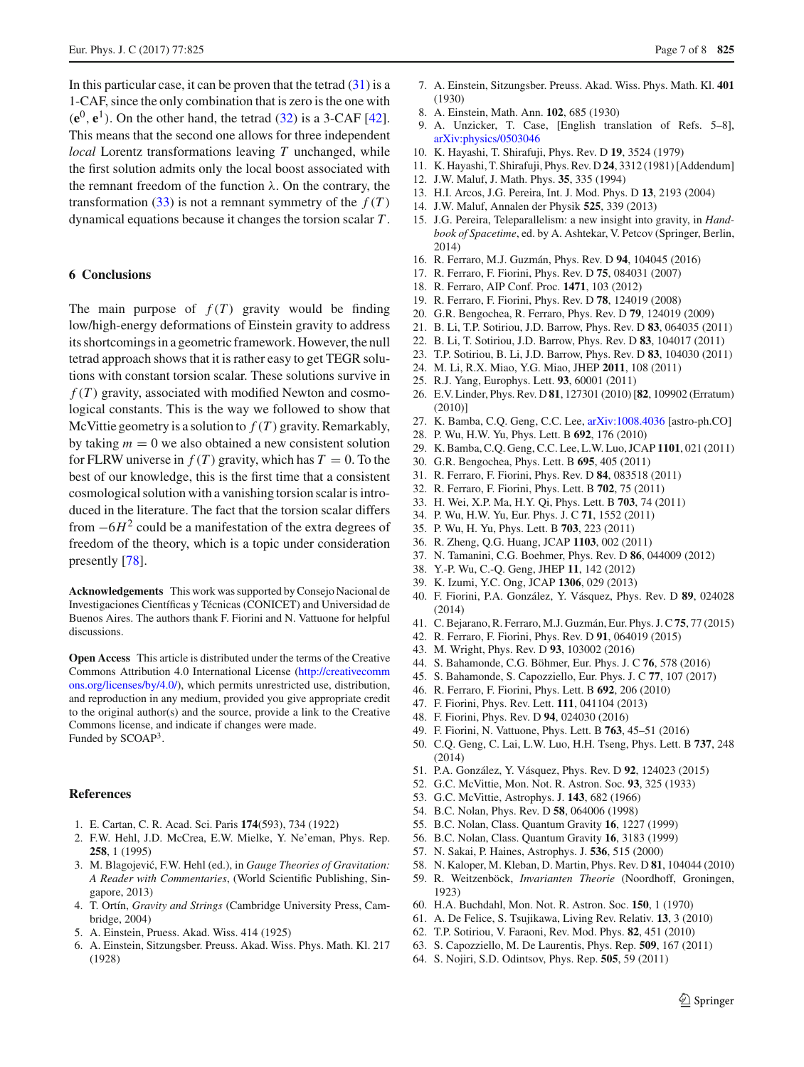In this particular case, it can be proven that the tetrad  $(31)$  is a 1-CAF, since the only combination that is zero is the one with  $(\mathbf{e}^0, \mathbf{e}^1)$ . On the other hand, the tetrad  $(32)$  is a 3-CAF [\[42](#page-6-32)]. This means that the second one allows for three independent *local* Lorentz transformations leaving *T* unchanged, while the first solution admits only the local boost associated with the remnant freedom of the function  $\lambda$ . On the contrary, the transformation  $(33)$  is not a remnant symmetry of the  $f(T)$ dynamical equations because it changes the torsion scalar *T* .

# <span id="page-6-25"></span>**6 Conclusions**

The main purpose of  $f(T)$  gravity would be finding low/high-energy deformations of Einstein gravity to address its shortcomings in a geometric framework. However, the null tetrad approach shows that it is rather easy to get TEGR solutions with constant torsion scalar. These solutions survive in  $f(T)$  gravity, associated with modified Newton and cosmological constants. This is the way we followed to show that McVittie geometry is a solution to  $f(T)$  gravity. Remarkably, by taking  $m = 0$  we also obtained a new consistent solution for FLRW universe in  $f(T)$  gravity, which has  $T = 0$ . To the best of our knowledge, this is the first time that a consistent cosmological solution with a vanishing torsion scalar is introduced in the literature. The fact that the torsion scalar differs from <sup>−</sup>6*H*<sup>2</sup> could be a manifestation of the extra degrees of freedom of the theory, which is a topic under consideration presently [\[78](#page-7-8)].

**Acknowledgements** This work was supported by Consejo Nacional de Investigaciones Científicas y Técnicas (CONICET) and Universidad de Buenos Aires. The authors thank F. Fiorini and N. Vattuone for helpful discussions.

**Open Access** This article is distributed under the terms of the Creative Commons Attribution 4.0 International License [\(http://creativecomm](http://creativecommons.org/licenses/by/4.0/) [ons.org/licenses/by/4.0/\)](http://creativecommons.org/licenses/by/4.0/), which permits unrestricted use, distribution, and reproduction in any medium, provided you give appropriate credit to the original author(s) and the source, provide a link to the Creative Commons license, and indicate if changes were made. Funded by SCOAP<sup>3</sup>.

### **References**

- <span id="page-6-0"></span>1. E. Cartan, C. R. Acad. Sci. Paris **174**(593), 734 (1922)
- 2. F.W. Hehl, J.D. McCrea, E.W. Mielke, Y. Ne'eman, Phys. Rep. **258**, 1 (1995)
- 3. M. Blagojević, F.W. Hehl (ed.), in *Gauge Theories of Gravitation: A Reader with Commentaries*, (World Scientific Publishing, Singapore, 2013)
- <span id="page-6-1"></span>4. T. Ortín, *Gravity and Strings* (Cambridge University Press, Cambridge, 2004)
- <span id="page-6-2"></span>5. A. Einstein, Pruess. Akad. Wiss. 414 (1925)
- 6. A. Einstein, Sitzungsber. Preuss. Akad. Wiss. Phys. Math. Kl. 217 (1928)
- 7. A. Einstein, Sitzungsber. Preuss. Akad. Wiss. Phys. Math. Kl. **401** (1930)
- 8. A. Einstein, Math. Ann. **102**, 685 (1930)
- <span id="page-6-3"></span>9. A. Unzicker, T. Case, [English translation of Refs. 5–8], [arXiv:physics/0503046](http://arxiv.org/abs/physics/0503046)
- <span id="page-6-4"></span>10. K. Hayashi, T. Shirafuji, Phys. Rev. D **19**, 3524 (1979)
- 11. K. Hayashi, T. Shirafuji, Phys. Rev. D **24**, 3312 (1981) [Addendum]
- 12. J.W. Maluf, J. Math. Phys. **35**, 335 (1994)
- <span id="page-6-26"></span>13. H.I. Arcos, J.G. Pereira, Int. J. Mod. Phys. D **13**, 2193 (2004)
- 14. J.W. Maluf, Annalen der Physik **525**, 339 (2013)
- 15. J.G. Pereira, Teleparallelism: a new insight into gravity, in *Handbook of Spacetime*, ed. by A. Ashtekar, V. Petcov (Springer, Berlin, 2014)
- <span id="page-6-5"></span>16. R. Ferraro, M.J. Guzmán, Phys. Rev. D **94**, 104045 (2016)
- <span id="page-6-6"></span>17. R. Ferraro, F. Fiorini, Phys. Rev. D **75**, 084031 (2007)
- <span id="page-6-7"></span>18. R. Ferraro, AIP Conf. Proc. **1471**, 103 (2012)
- <span id="page-6-8"></span>19. R. Ferraro, F. Fiorini, Phys. Rev. D **78**, 124019 (2008)
- <span id="page-6-9"></span>20. G.R. Bengochea, R. Ferraro, Phys. Rev. D **79**, 124019 (2009)
- <span id="page-6-10"></span>21. B. Li, T.P. Sotiriou, J.D. Barrow, Phys. Rev. D **83**, 064035 (2011)
- 22. B. Li, T. Sotiriou, J.D. Barrow, Phys. Rev. D **83**, 104017 (2011)
- <span id="page-6-11"></span>23. T.P. Sotiriou, B. Li, J.D. Barrow, Phys. Rev. D **83**, 104030 (2011)
- 24. M. Li, R.X. Miao, Y.G. Miao, JHEP **2011**, 108 (2011)
- <span id="page-6-12"></span>25. R.J. Yang, Europhys. Lett. **93**, 60001 (2011)
- 26. E.V. Linder, Phys. Rev. D **81**, 127301 (2010) [**82**, 109902 (Erratum) (2010)]
- 27. K. Bamba, C.Q. Geng, C.C. Lee, [arXiv:1008.4036](http://arxiv.org/abs/1008.4036) [astro-ph.CO]
- 28. P. Wu, H.W. Yu, Phys. Lett. B **692**, 176 (2010)
- 29. K. Bamba, C.Q. Geng, C.C. Lee, L.W. Luo, JCAP **1101**, 021 (2011)
- 30. G.R. Bengochea, Phys. Lett. B **695**, 405 (2011)
- <span id="page-6-29"></span>31. R. Ferraro, F. Fiorini, Phys. Rev. D **84**, 083518 (2011)
- <span id="page-6-30"></span>32. R. Ferraro, F. Fiorini, Phys. Lett. B **702**, 75 (2011)
- 33. H. Wei, X.P. Ma, H.Y. Qi, Phys. Lett. B **703**, 74 (2011)
- 34. P. Wu, H.W. Yu, Eur. Phys. J. C **71**, 1552 (2011)
- 35. P. Wu, H. Yu, Phys. Lett. B **703**, 223 (2011)
- 36. R. Zheng, Q.G. Huang, JCAP **1103**, 002 (2011)
- <span id="page-6-31"></span>37. N. Tamanini, C.G. Boehmer, Phys. Rev. D **86**, 044009 (2012)
- 38. Y.-P. Wu, C.-Q. Geng, JHEP **11**, 142 (2012)
- 39. K. Izumi, Y.C. Ong, JCAP **1306**, 029 (2013)
- 40. F. Fiorini, P.A. González, Y. Vásquez, Phys. Rev. D **89**, 024028 (2014)
- <span id="page-6-24"></span>41. C. Bejarano, R. Ferraro, M.J. Guzmán, Eur. Phys. J. C**75**, 77 (2015)
- <span id="page-6-32"></span>42. R. Ferraro, F. Fiorini, Phys. Rev. D **91**, 064019 (2015)
- 43. M. Wright, Phys. Rev. D **93**, 103002 (2016)
- 44. S. Bahamonde, C.G. Böhmer, Eur. Phys. J. C **76**, 578 (2016)
- <span id="page-6-13"></span>45. S. Bahamonde, S. Capozziello, Eur. Phys. J. C **77**, 107 (2017)
- <span id="page-6-14"></span>46. R. Ferraro, F. Fiorini, Phys. Lett. B **692**, 206 (2010)
- 47. F. Fiorini, Phys. Rev. Lett. **111**, 041104 (2013)
- 48. F. Fiorini, Phys. Rev. D **94**, 024030 (2016)
- <span id="page-6-15"></span>49. F. Fiorini, N. Vattuone, Phys. Lett. B **763**, 45–51 (2016)
- <span id="page-6-16"></span>50. C.Q. Geng, C. Lai, L.W. Luo, H.H. Tseng, Phys. Lett. B **737**, 248 (2014)
- <span id="page-6-17"></span>51. P.A. González, Y. Vásquez, Phys. Rev. D **92**, 124023 (2015)
- <span id="page-6-18"></span>52. G.C. McVittie, Mon. Not. R. Astron. Soc. **93**, 325 (1933)
- <span id="page-6-19"></span>53. G.C. McVittie, Astrophys. J. **143**, 682 (1966)
- <span id="page-6-20"></span>54. B.C. Nolan, Phys. Rev. D **58**, 064006 (1998)
- 55. B.C. Nolan, Class. Quantum Gravity **16**, 1227 (1999)
- <span id="page-6-21"></span>56. B.C. Nolan, Class. Quantum Gravity **16**, 3183 (1999)
- <span id="page-6-22"></span>57. N. Sakai, P. Haines, Astrophys. J. **536**, 515 (2000)
- <span id="page-6-23"></span>58. N. Kaloper, M. Kleban, D. Martin, Phys. Rev. D **81**, 104044 (2010) 59. R. Weitzenböck, *Invarianten Theorie* (Noordhoff, Groningen,
- <span id="page-6-27"></span>1923)
- <span id="page-6-28"></span>60. H.A. Buchdahl, Mon. Not. R. Astron. Soc. **150**, 1 (1970)
- 61. A. De Felice, S. Tsujikawa, Living Rev. Relativ. **13**, 3 (2010)
- 62. T.P. Sotiriou, V. Faraoni, Rev. Mod. Phys. **82**, 451 (2010)
- 63. S. Capozziello, M. De Laurentis, Phys. Rep. **509**, 167 (2011)
- 64. S. Nojiri, S.D. Odintsov, Phys. Rep. **505**, 59 (2011)